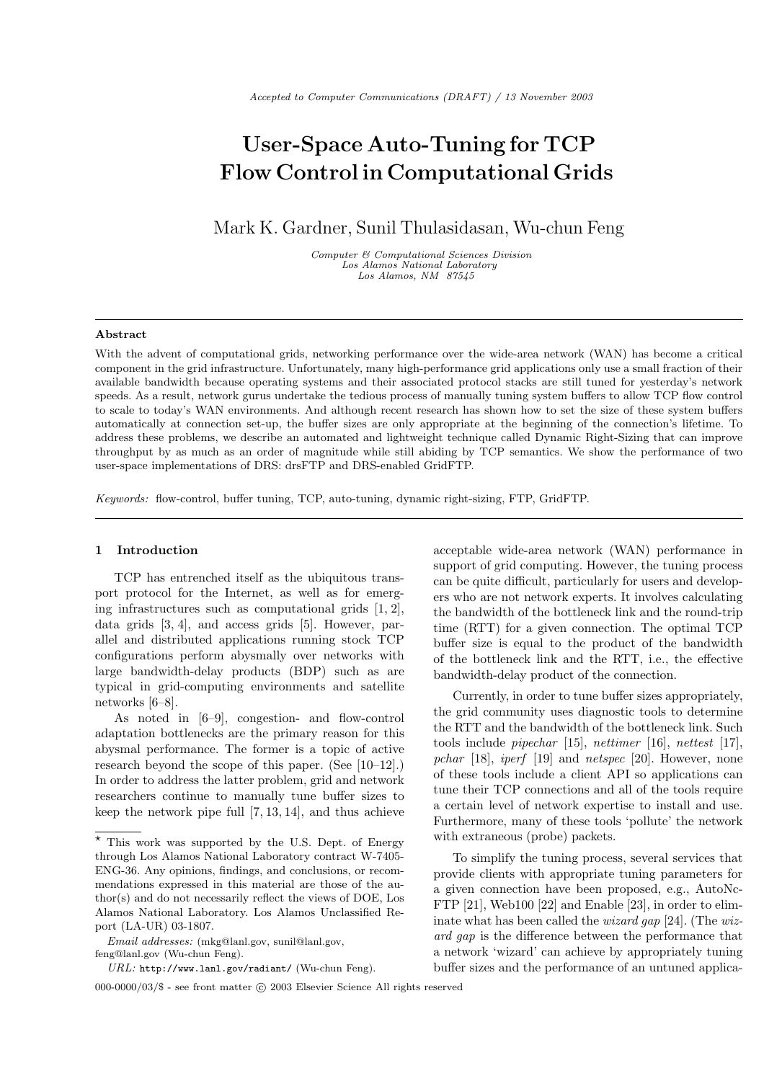# User-Space Auto-Tuning for TCP Flow Control in Computational Grids

Mark K. Gardner, Sunil Thulasidasan, Wu-chun Feng

Computer & Computational Sciences Division Los Alamos National Laboratory Los Alamos, NM 87545

#### Abstract

With the advent of computational grids, networking performance over the wide-area network (WAN) has become a critical component in the grid infrastructure. Unfortunately, many high-performance grid applications only use a small fraction of their available bandwidth because operating systems and their associated protocol stacks are still tuned for yesterday's network speeds. As a result, network gurus undertake the tedious process of manually tuning system buffers to allow TCP flow control to scale to today's WAN environments. And although recent research has shown how to set the size of these system buffers automatically at connection set-up, the buffer sizes are only appropriate at the beginning of the connection's lifetime. To address these problems, we describe an automated and lightweight technique called Dynamic Right-Sizing that can improve throughput by as much as an order of magnitude while still abiding by TCP semantics. We show the performance of two user-space implementations of DRS: drsFTP and DRS-enabled GridFTP.

Keywords: flow-control, buffer tuning, TCP, auto-tuning, dynamic right-sizing, FTP, GridFTP.

#### 1 Introduction

TCP has entrenched itself as the ubiquitous transport protocol for the Internet, as well as for emerging infrastructures such as computational grids [1, 2], data grids [3, 4], and access grids [5]. However, parallel and distributed applications running stock TCP configurations perform abysmally over networks with large bandwidth-delay products (BDP) such as are typical in grid-computing environments and satellite networks [6–8].

As noted in [6–9], congestion- and flow-control adaptation bottlenecks are the primary reason for this abysmal performance. The former is a topic of active research beyond the scope of this paper. (See [10–12].) In order to address the latter problem, grid and network researchers continue to manually tune buffer sizes to keep the network pipe full [7, 13, 14], and thus achieve acceptable wide-area network (WAN) performance in support of grid computing. However, the tuning process can be quite difficult, particularly for users and developers who are not network experts. It involves calculating the bandwidth of the bottleneck link and the round-trip time (RTT) for a given connection. The optimal TCP buffer size is equal to the product of the bandwidth of the bottleneck link and the RTT, i.e., the effective bandwidth-delay product of the connection.

Currently, in order to tune buffer sizes appropriately, the grid community uses diagnostic tools to determine the RTT and the bandwidth of the bottleneck link. Such tools include pipechar [15], nettimer [16], nettest [17], pchar [18], iperf [19] and netspec [20]. However, none of these tools include a client API so applications can tune their TCP connections and all of the tools require a certain level of network expertise to install and use. Furthermore, many of these tools 'pollute' the network with extraneous (probe) packets.

To simplify the tuning process, several services that provide clients with appropriate tuning parameters for a given connection have been proposed, e.g., AutoNc-FTP [21], Web100 [22] and Enable [23], in order to eliminate what has been called the wizard gap [24]. (The wizard gap is the difference between the performance that a network 'wizard' can achieve by appropriately tuning buffer sizes and the performance of an untuned applica-

 $\overline{\star}$  This work was supported by the U.S. Dept. of Energy through Los Alamos National Laboratory contract W-7405- ENG-36. Any opinions, findings, and conclusions, or recommendations expressed in this material are those of the author(s) and do not necessarily reflect the views of DOE, Los Alamos National Laboratory. Los Alamos Unclassified Report (LA-UR) 03-1807.

Email addresses: (mkg@lanl.gov, sunil@lanl.gov, feng@lanl.gov (Wu-chun Feng).

URL: http://www.lanl.gov/radiant/ (Wu-chun Feng).

 $000-0000/03$ /\$ - see front matter  $\odot$  2003 Elsevier Science All rights reserved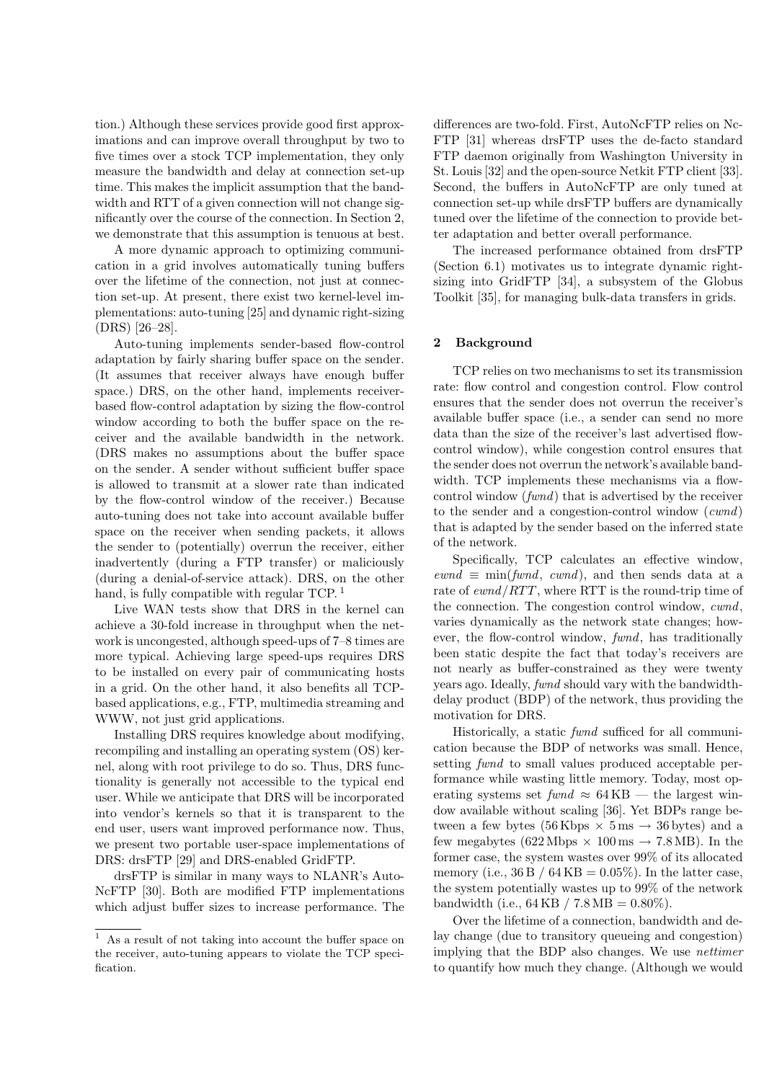tion.) Although these services provide good first approximations and can improve overall throughput by two to five times over a stock TCP implementation, they only measure the bandwidth and delay at connection set-up time. This makes the implicit assumption that the bandwidth and RTT of a given connection will not change significantly over the course of the connection. In Section 2, we demonstrate that this assumption is tenuous at best.

A more dynamic approach to optimizing communication in a grid involves automatically tuning buffers over the lifetime of the connection, not just at connection set-up. At present, there exist two kernel-level implementations: auto-tuning [25] and dynamic right-sizing (DRS) [26–28].

Auto-tuning implements sender-based flow-control adaptation by fairly sharing buffer space on the sender. (It assumes that receiver always have enough buffer space.) DRS, on the other hand, implements receiverbased flow-control adaptation by sizing the flow-control window according to both the buffer space on the receiver and the available bandwidth in the network. (DRS makes no assumptions about the buffer space on the sender. A sender without sufficient buffer space is allowed to transmit at a slower rate than indicated by the flow-control window of the receiver.) Because auto-tuning does not take into account available buffer space on the receiver when sending packets, it allows the sender to (potentially) overrun the receiver, either inadvertently (during a FTP transfer) or maliciously (during a denial-of-service attack). DRS, on the other hand, is fully compatible with regular TCP.<sup>1</sup>

Live WAN tests show that DRS in the kernel can achieve a 30-fold increase in throughput when the network is uncongested, although speed-ups of 7–8 times are more typical. Achieving large speed-ups requires DRS to be installed on every pair of communicating hosts in a grid. On the other hand, it also benefits all TCPbased applications, e.g., FTP, multimedia streaming and WWW, not just grid applications.

Installing DRS requires knowledge about modifying, recompiling and installing an operating system (OS) kernel, along with root privilege to do so. Thus, DRS functionality is generally not accessible to the typical end user. While we anticipate that DRS will be incorporated into vendor's kernels so that it is transparent to the end user, users want improved performance now. Thus, we present two portable user-space implementations of DRS: drsFTP [29] and DRS-enabled GridFTP.

drsFTP is similar in many ways to NLANR's Auto-NcFTP [30]. Both are modified FTP implementations which adjust buffer sizes to increase performance. The differences are two-fold. First, AutoNcFTP relies on Nc-FTP [31] whereas drsFTP uses the de-facto standard FTP daemon originally from Washington University in St. Louis [32] and the open-source Netkit FTP client [33]. Second, the buffers in AutoNcFTP are only tuned at connection set-up while drsFTP buffers are dynamically tuned over the lifetime of the connection to provide better adaptation and better overall performance.

The increased performance obtained from drsFTP (Section 6.1) motivates us to integrate dynamic rightsizing into GridFTP [34], a subsystem of the Globus Toolkit [35], for managing bulk-data transfers in grids.

# 2 Background

TCP relies on two mechanisms to set its transmission rate: flow control and congestion control. Flow control ensures that the sender does not overrun the receiver's available buffer space (i.e., a sender can send no more data than the size of the receiver's last advertised flowcontrol window), while congestion control ensures that the sender does not overrun the network's available bandwidth. TCP implements these mechanisms via a flowcontrol window (fwnd) that is advertised by the receiver to the sender and a congestion-control window (cwnd) that is adapted by the sender based on the inferred state of the network.

Specifically, TCP calculates an effective window,  $ewnd \equiv \min(fwnd, cwnd),$  and then sends data at a rate of  $\text{ewnd}/RTT$ , where RTT is the round-trip time of the connection. The congestion control window, cwnd, varies dynamically as the network state changes; however, the flow-control window, fwnd, has traditionally been static despite the fact that today's receivers are not nearly as buffer-constrained as they were twenty years ago. Ideally, fwnd should vary with the bandwidthdelay product (BDP) of the network, thus providing the motivation for DRS.

Historically, a static fwnd sufficed for all communication because the BDP of networks was small. Hence, setting fwnd to small values produced acceptable performance while wasting little memory. Today, most operating systems set  $fwnd \approx 64 \text{ KB}$  — the largest window available without scaling [36]. Yet BDPs range between a few bytes (56 Kbps  $\times$  5 ms  $\rightarrow$  36 bytes) and a few megabytes  $(622 \text{ Mbps} \times 100 \text{ ms} \rightarrow 7.8 \text{ MB})$ . In the former case, the system wastes over 99% of its allocated memory (i.e.,  $36 B / 64 KB = 0.05\%$ ). In the latter case, the system potentially wastes up to 99% of the network bandwidth (i.e.,  $64 \text{ KB} / 7.8 \text{ MB} = 0.80\%$ ).

Over the lifetime of a connection, bandwidth and delay change (due to transitory queueing and congestion) implying that the BDP also changes. We use nettimer to quantify how much they change. (Although we would

 $^{\rm 1}$  As a result of not taking into account the buffer space on the receiver, auto-tuning appears to violate the TCP specification.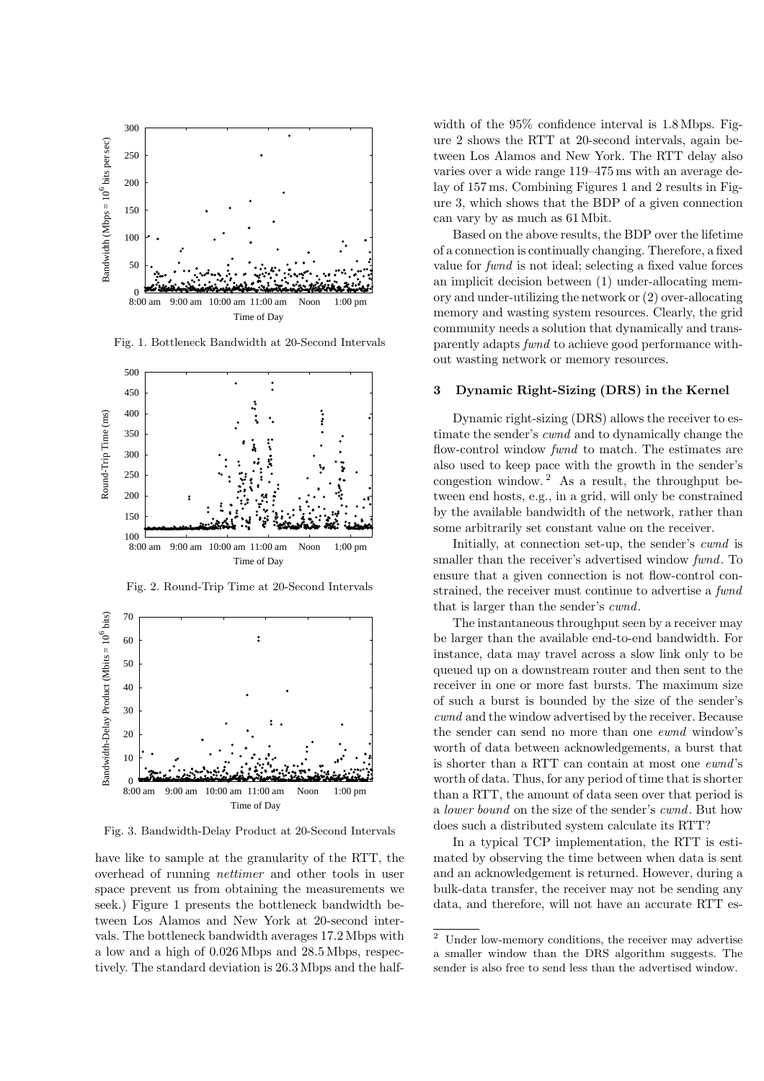

Fig. 1. Bottleneck Bandwidth at 20-Second Intervals



Fig. 2. Round-Trip Time at 20-Second Intervals



Fig. 3. Bandwidth-Delay Product at 20-Second Intervals

have like to sample at the granularity of the RTT, the overhead of running nettimer and other tools in user space prevent us from obtaining the measurements we seek.) Figure 1 presents the bottleneck bandwidth between Los Alamos and New York at 20-second intervals. The bottleneck bandwidth averages 17.2 Mbps with a low and a high of 0.026 Mbps and 28.5 Mbps, respectively. The standard deviation is 26.3 Mbps and the halfwidth of the 95% confidence interval is 1.8 Mbps. Figure 2 shows the RTT at 20-second intervals, again between Los Alamos and New York. The RTT delay also varies over a wide range 119–475 ms with an average delay of 157 ms. Combining Figures 1 and 2 results in Figure 3, which shows that the BDP of a given connection can vary by as much as 61 Mbit.

Based on the above results, the BDP over the lifetime of a connection is continually changing. Therefore, a fixed value for fwnd is not ideal; selecting a fixed value forces an implicit decision between (1) under-allocating memory and under-utilizing the network or (2) over-allocating memory and wasting system resources. Clearly, the grid community needs a solution that dynamically and transparently adapts fwnd to achieve good performance without wasting network or memory resources.

# 3 Dynamic Right-Sizing (DRS) in the Kernel

Dynamic right-sizing (DRS) allows the receiver to estimate the sender's cwnd and to dynamically change the flow-control window *fund* to match. The estimates are also used to keep pace with the growth in the sender's congestion window.<sup>2</sup> As a result, the throughput between end hosts, e.g., in a grid, will only be constrained by the available bandwidth of the network, rather than some arbitrarily set constant value on the receiver.

Initially, at connection set-up, the sender's cwnd is smaller than the receiver's advertised window fund. To ensure that a given connection is not flow-control constrained, the receiver must continue to advertise a fwnd that is larger than the sender's cwnd.

The instantaneous throughput seen by a receiver may be larger than the available end-to-end bandwidth. For instance, data may travel across a slow link only to be queued up on a downstream router and then sent to the receiver in one or more fast bursts. The maximum size of such a burst is bounded by the size of the sender's cwnd and the window advertised by the receiver. Because the sender can send no more than one ewnd window's worth of data between acknowledgements, a burst that is shorter than a RTT can contain at most one ewnd's worth of data. Thus, for any period of time that is shorter than a RTT, the amount of data seen over that period is a lower bound on the size of the sender's cwnd. But how does such a distributed system calculate its RTT?

In a typical TCP implementation, the RTT is estimated by observing the time between when data is sent and an acknowledgement is returned. However, during a bulk-data transfer, the receiver may not be sending any data, and therefore, will not have an accurate RTT es-

<sup>2</sup> Under low-memory conditions, the receiver may advertise a smaller window than the DRS algorithm suggests. The sender is also free to send less than the advertised window.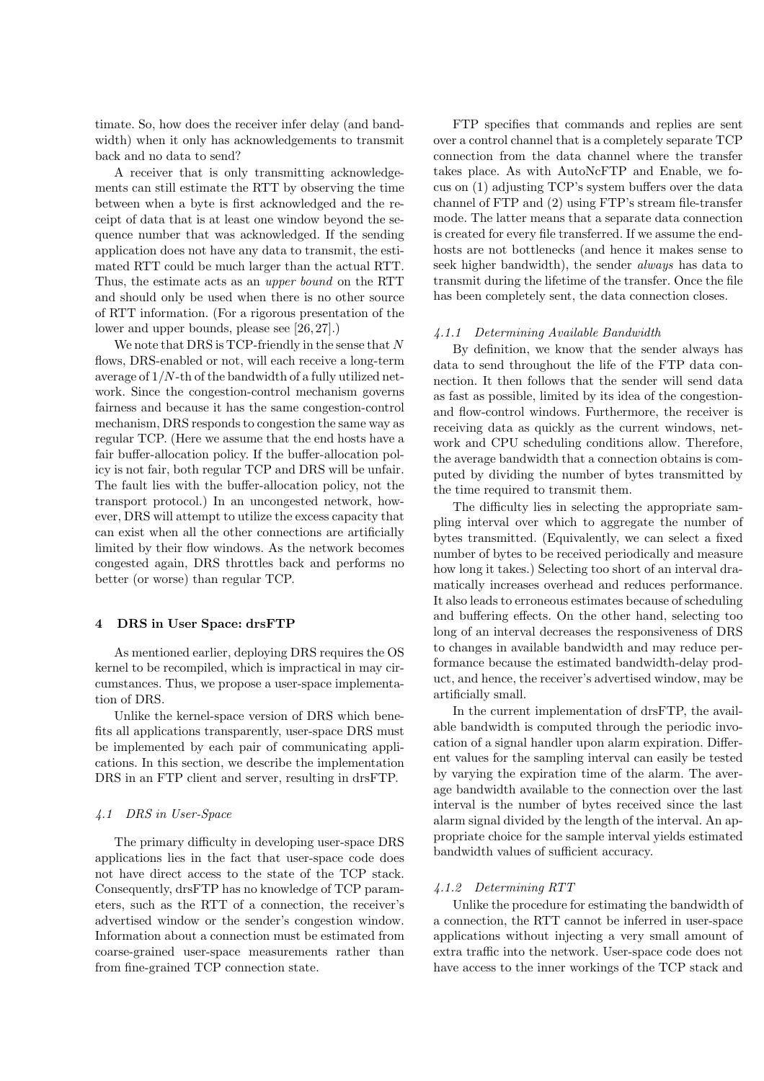timate. So, how does the receiver infer delay (and bandwidth) when it only has acknowledgements to transmit back and no data to send?

A receiver that is only transmitting acknowledgements can still estimate the RTT by observing the time between when a byte is first acknowledged and the receipt of data that is at least one window beyond the sequence number that was acknowledged. If the sending application does not have any data to transmit, the estimated RTT could be much larger than the actual RTT. Thus, the estimate acts as an upper bound on the RTT and should only be used when there is no other source of RTT information. (For a rigorous presentation of the lower and upper bounds, please see [26, 27].)

We note that  $DRS$  is TCP-friendly in the sense that  $N$ flows, DRS-enabled or not, will each receive a long-term average of 1/N-th of the bandwidth of a fully utilized network. Since the congestion-control mechanism governs fairness and because it has the same congestion-control mechanism, DRS responds to congestion the same way as regular TCP. (Here we assume that the end hosts have a fair buffer-allocation policy. If the buffer-allocation policy is not fair, both regular TCP and DRS will be unfair. The fault lies with the buffer-allocation policy, not the transport protocol.) In an uncongested network, however, DRS will attempt to utilize the excess capacity that can exist when all the other connections are artificially limited by their flow windows. As the network becomes congested again, DRS throttles back and performs no better (or worse) than regular TCP.

# 4 DRS in User Space: drsFTP

As mentioned earlier, deploying DRS requires the OS kernel to be recompiled, which is impractical in may circumstances. Thus, we propose a user-space implementation of DRS.

Unlike the kernel-space version of DRS which benefits all applications transparently, user-space DRS must be implemented by each pair of communicating applications. In this section, we describe the implementation DRS in an FTP client and server, resulting in drsFTP.

# 4.1 DRS in User-Space

The primary difficulty in developing user-space DRS applications lies in the fact that user-space code does not have direct access to the state of the TCP stack. Consequently, drsFTP has no knowledge of TCP parameters, such as the RTT of a connection, the receiver's advertised window or the sender's congestion window. Information about a connection must be estimated from coarse-grained user-space measurements rather than from fine-grained TCP connection state.

FTP specifies that commands and replies are sent over a control channel that is a completely separate TCP connection from the data channel where the transfer takes place. As with AutoNcFTP and Enable, we focus on (1) adjusting TCP's system buffers over the data channel of FTP and (2) using FTP's stream file-transfer mode. The latter means that a separate data connection is created for every file transferred. If we assume the endhosts are not bottlenecks (and hence it makes sense to seek higher bandwidth), the sender always has data to transmit during the lifetime of the transfer. Once the file has been completely sent, the data connection closes.

#### 4.1.1 Determining Available Bandwidth

By definition, we know that the sender always has data to send throughout the life of the FTP data connection. It then follows that the sender will send data as fast as possible, limited by its idea of the congestionand flow-control windows. Furthermore, the receiver is receiving data as quickly as the current windows, network and CPU scheduling conditions allow. Therefore, the average bandwidth that a connection obtains is computed by dividing the number of bytes transmitted by the time required to transmit them.

The difficulty lies in selecting the appropriate sampling interval over which to aggregate the number of bytes transmitted. (Equivalently, we can select a fixed number of bytes to be received periodically and measure how long it takes.) Selecting too short of an interval dramatically increases overhead and reduces performance. It also leads to erroneous estimates because of scheduling and buffering effects. On the other hand, selecting too long of an interval decreases the responsiveness of DRS to changes in available bandwidth and may reduce performance because the estimated bandwidth-delay product, and hence, the receiver's advertised window, may be artificially small.

In the current implementation of drsFTP, the available bandwidth is computed through the periodic invocation of a signal handler upon alarm expiration. Different values for the sampling interval can easily be tested by varying the expiration time of the alarm. The average bandwidth available to the connection over the last interval is the number of bytes received since the last alarm signal divided by the length of the interval. An appropriate choice for the sample interval yields estimated bandwidth values of sufficient accuracy.

#### 4.1.2 Determining RTT

Unlike the procedure for estimating the bandwidth of a connection, the RTT cannot be inferred in user-space applications without injecting a very small amount of extra traffic into the network. User-space code does not have access to the inner workings of the TCP stack and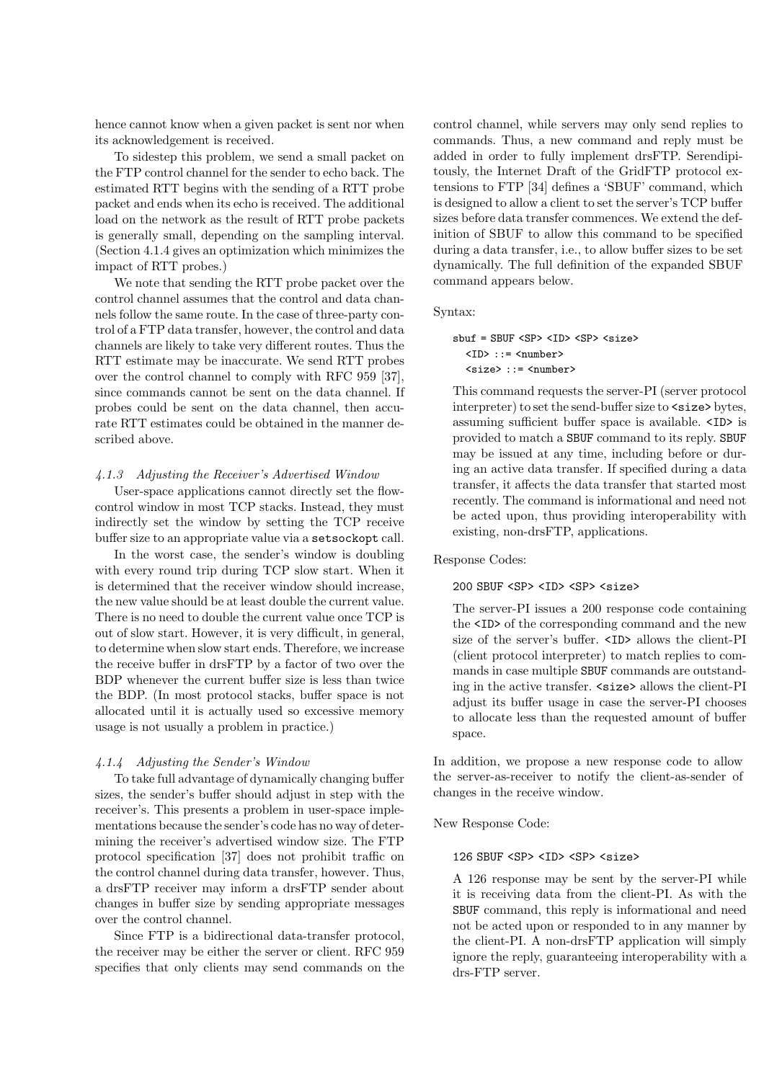hence cannot know when a given packet is sent nor when its acknowledgement is received.

To sidestep this problem, we send a small packet on the FTP control channel for the sender to echo back. The estimated RTT begins with the sending of a RTT probe packet and ends when its echo is received. The additional load on the network as the result of RTT probe packets is generally small, depending on the sampling interval. (Section 4.1.4 gives an optimization which minimizes the impact of RTT probes.)

We note that sending the RTT probe packet over the control channel assumes that the control and data channels follow the same route. In the case of three-party control of a FTP data transfer, however, the control and data channels are likely to take very different routes. Thus the RTT estimate may be inaccurate. We send RTT probes over the control channel to comply with RFC 959 [37], since commands cannot be sent on the data channel. If probes could be sent on the data channel, then accurate RTT estimates could be obtained in the manner described above.

## 4.1.3 Adjusting the Receiver's Advertised Window

User-space applications cannot directly set the flowcontrol window in most TCP stacks. Instead, they must indirectly set the window by setting the TCP receive buffer size to an appropriate value via a setsockopt call.

In the worst case, the sender's window is doubling with every round trip during TCP slow start. When it is determined that the receiver window should increase, the new value should be at least double the current value. There is no need to double the current value once TCP is out of slow start. However, it is very difficult, in general, to determine when slow start ends. Therefore, we increase the receive buffer in drsFTP by a factor of two over the BDP whenever the current buffer size is less than twice the BDP. (In most protocol stacks, buffer space is not allocated until it is actually used so excessive memory usage is not usually a problem in practice.)

#### 4.1.4 Adjusting the Sender's Window

To take full advantage of dynamically changing buffer sizes, the sender's buffer should adjust in step with the receiver's. This presents a problem in user-space implementations because the sender's code has no way of determining the receiver's advertised window size. The FTP protocol specification [37] does not prohibit traffic on the control channel during data transfer, however. Thus, a drsFTP receiver may inform a drsFTP sender about changes in buffer size by sending appropriate messages over the control channel.

Since FTP is a bidirectional data-transfer protocol, the receiver may be either the server or client. RFC 959 specifies that only clients may send commands on the control channel, while servers may only send replies to commands. Thus, a new command and reply must be added in order to fully implement drsFTP. Serendipitously, the Internet Draft of the GridFTP protocol extensions to FTP [34] defines a 'SBUF' command, which is designed to allow a client to set the server's TCP buffer sizes before data transfer commences. We extend the definition of SBUF to allow this command to be specified during a data transfer, i.e., to allow buffer sizes to be set dynamically. The full definition of the expanded SBUF command appears below.

#### Syntax:

 $sbuf = SBUF$  <ID> <SP> <size>  $\langle ID \rangle$  ::=  $\langle number \rangle$ <size> ::= <number>

This command requests the server-PI (server protocol interpreter) to set the send-buffer size to  $\langle$  size  $\rangle$  bytes, assuming sufficient buffer space is available. <ID> is provided to match a SBUF command to its reply. SBUF may be issued at any time, including before or during an active data transfer. If specified during a data transfer, it affects the data transfer that started most recently. The command is informational and need not be acted upon, thus providing interoperability with existing, non-drsFTP, applications.

Response Codes:

#### 200 SBUF <SP> <ID> <SP> <size>

The server-PI issues a 200 response code containing the  $\langle$ ID $\rangle$  of the corresponding command and the new size of the server's buffer.  $\langle$ ID> allows the client-PI (client protocol interpreter) to match replies to commands in case multiple SBUF commands are outstanding in the active transfer. <size> allows the client-PI adjust its buffer usage in case the server-PI chooses to allocate less than the requested amount of buffer space.

In addition, we propose a new response code to allow the server-as-receiver to notify the client-as-sender of changes in the receive window.

# New Response Code:

## 126 SBUF <SP> <ID> <SP> <size>

A 126 response may be sent by the server-PI while it is receiving data from the client-PI. As with the SBUF command, this reply is informational and need not be acted upon or responded to in any manner by the client-PI. A non-drsFTP application will simply ignore the reply, guaranteeing interoperability with a drs-FTP server.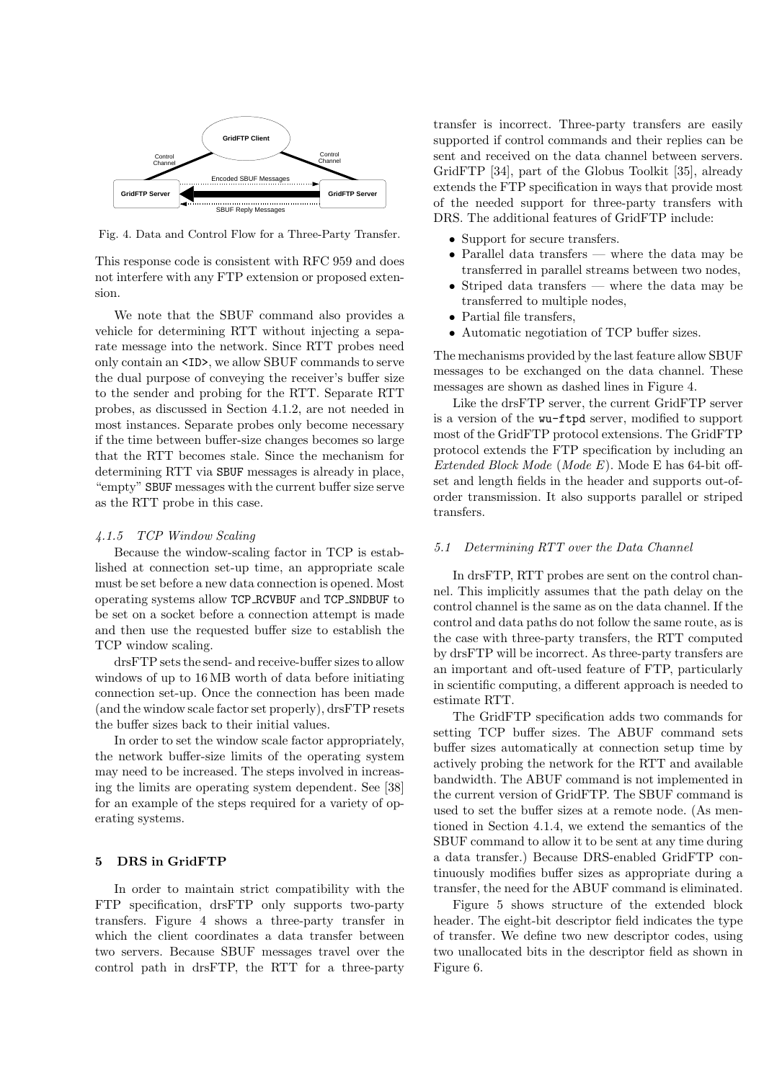

Fig. 4. Data and Control Flow for a Three-Party Transfer.

This response code is consistent with RFC 959 and does not interfere with any FTP extension or proposed extension.

We note that the SBUF command also provides a vehicle for determining RTT without injecting a separate message into the network. Since RTT probes need only contain an <ID>, we allow SBUF commands to serve the dual purpose of conveying the receiver's buffer size to the sender and probing for the RTT. Separate RTT probes, as discussed in Section 4.1.2, are not needed in most instances. Separate probes only become necessary if the time between buffer-size changes becomes so large that the RTT becomes stale. Since the mechanism for determining RTT via SBUF messages is already in place, "empty" SBUF messages with the current buffer size serve as the RTT probe in this case.

## 4.1.5 TCP Window Scaling

Because the window-scaling factor in TCP is established at connection set-up time, an appropriate scale must be set before a new data connection is opened. Most operating systems allow TCP RCVBUF and TCP SNDBUF to be set on a socket before a connection attempt is made and then use the requested buffer size to establish the TCP window scaling.

drsFTP sets the send- and receive-buffer sizes to allow windows of up to 16 MB worth of data before initiating connection set-up. Once the connection has been made (and the window scale factor set properly), drsFTP resets the buffer sizes back to their initial values.

In order to set the window scale factor appropriately, the network buffer-size limits of the operating system may need to be increased. The steps involved in increasing the limits are operating system dependent. See [38] for an example of the steps required for a variety of operating systems.

## 5 DRS in GridFTP

In order to maintain strict compatibility with the FTP specification, drsFTP only supports two-party transfers. Figure 4 shows a three-party transfer in which the client coordinates a data transfer between two servers. Because SBUF messages travel over the control path in drsFTP, the RTT for a three-party transfer is incorrect. Three-party transfers are easily supported if control commands and their replies can be sent and received on the data channel between servers. GridFTP [34], part of the Globus Toolkit [35], already extends the FTP specification in ways that provide most of the needed support for three-party transfers with DRS. The additional features of GridFTP include:

- Support for secure transfers.
- Parallel data transfers where the data may be transferred in parallel streams between two nodes,
- Striped data transfers where the data may be transferred to multiple nodes,
- Partial file transfers,
- Automatic negotiation of TCP buffer sizes.

The mechanisms provided by the last feature allow SBUF messages to be exchanged on the data channel. These messages are shown as dashed lines in Figure 4.

Like the drsFTP server, the current GridFTP server is a version of the wu-ftpd server, modified to support most of the GridFTP protocol extensions. The GridFTP protocol extends the FTP specification by including an Extended Block Mode (Mode E). Mode E has 64-bit offset and length fields in the header and supports out-oforder transmission. It also supports parallel or striped transfers.

# 5.1 Determining RTT over the Data Channel

In drsFTP, RTT probes are sent on the control channel. This implicitly assumes that the path delay on the control channel is the same as on the data channel. If the control and data paths do not follow the same route, as is the case with three-party transfers, the RTT computed by drsFTP will be incorrect. As three-party transfers are an important and oft-used feature of FTP, particularly in scientific computing, a different approach is needed to estimate RTT.

The GridFTP specification adds two commands for setting TCP buffer sizes. The ABUF command sets buffer sizes automatically at connection setup time by actively probing the network for the RTT and available bandwidth. The ABUF command is not implemented in the current version of GridFTP. The SBUF command is used to set the buffer sizes at a remote node. (As mentioned in Section 4.1.4, we extend the semantics of the SBUF command to allow it to be sent at any time during a data transfer.) Because DRS-enabled GridFTP continuously modifies buffer sizes as appropriate during a transfer, the need for the ABUF command is eliminated.

Figure 5 shows structure of the extended block header. The eight-bit descriptor field indicates the type of transfer. We define two new descriptor codes, using two unallocated bits in the descriptor field as shown in Figure 6.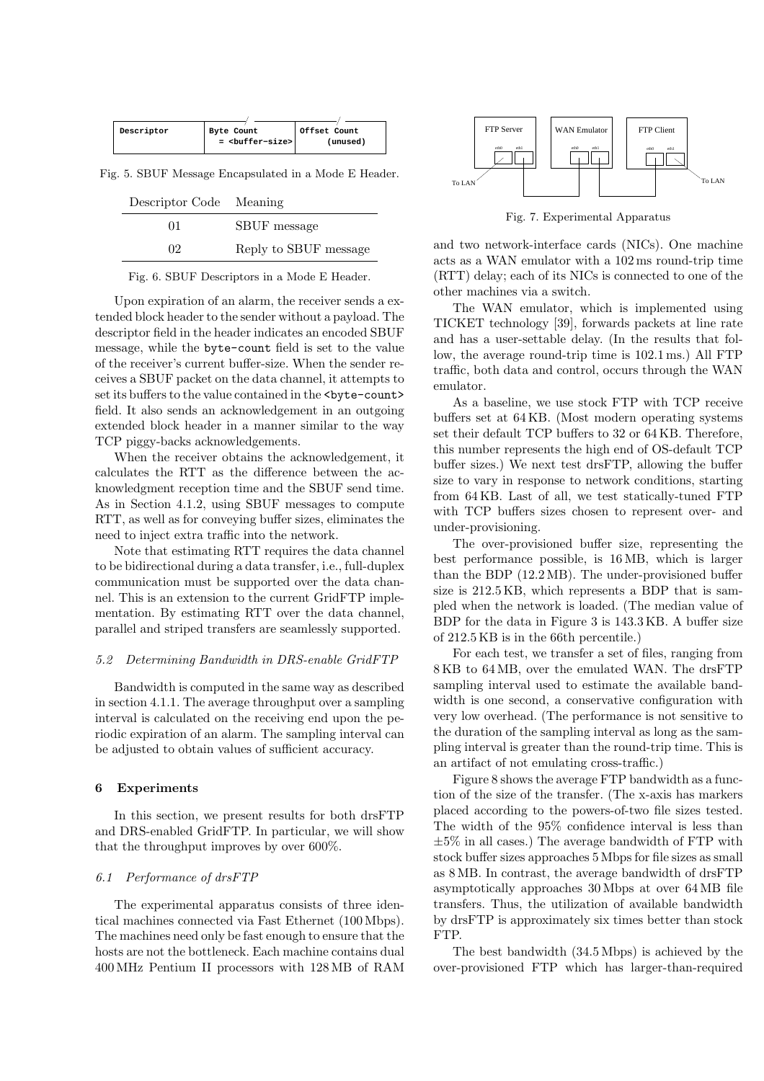| Descriptor<br>Offset Count<br>Byte Count<br>$=$<br>buffer-size><br>(unused) |  |
|-----------------------------------------------------------------------------|--|
|-----------------------------------------------------------------------------|--|

Fig. 5. SBUF Message Encapsulated in a Mode E Header.

| Descriptor Code Meaning |                       |
|-------------------------|-----------------------|
| $^{01}$                 | SBUF message          |
| 02                      | Reply to SBUF message |

Fig. 6. SBUF Descriptors in a Mode E Header.

Upon expiration of an alarm, the receiver sends a extended block header to the sender without a payload. The descriptor field in the header indicates an encoded SBUF message, while the byte-count field is set to the value of the receiver's current buffer-size. When the sender receives a SBUF packet on the data channel, it attempts to set its buffers to the value contained in the <br/> <br/> <br/>t<br/>>>>>> field. It also sends an acknowledgement in an outgoing extended block header in a manner similar to the way TCP piggy-backs acknowledgements.

When the receiver obtains the acknowledgement, it calculates the RTT as the difference between the acknowledgment reception time and the SBUF send time. As in Section 4.1.2, using SBUF messages to compute RTT, as well as for conveying buffer sizes, eliminates the need to inject extra traffic into the network.

Note that estimating RTT requires the data channel to be bidirectional during a data transfer, i.e., full-duplex communication must be supported over the data channel. This is an extension to the current GridFTP implementation. By estimating RTT over the data channel, parallel and striped transfers are seamlessly supported.

# 5.2 Determining Bandwidth in DRS-enable GridFTP

Bandwidth is computed in the same way as described in section 4.1.1. The average throughput over a sampling interval is calculated on the receiving end upon the periodic expiration of an alarm. The sampling interval can be adjusted to obtain values of sufficient accuracy.

## 6 Experiments

In this section, we present results for both drsFTP and DRS-enabled GridFTP. In particular, we will show that the throughput improves by over 600%.

# 6.1 Performance of drsFTP

The experimental apparatus consists of three identical machines connected via Fast Ethernet (100 Mbps). The machines need only be fast enough to ensure that the hosts are not the bottleneck. Each machine contains dual 400 MHz Pentium II processors with 128 MB of RAM



Fig. 7. Experimental Apparatus

and two network-interface cards (NICs). One machine acts as a WAN emulator with a 102 ms round-trip time (RTT) delay; each of its NICs is connected to one of the other machines via a switch.

The WAN emulator, which is implemented using TICKET technology [39], forwards packets at line rate and has a user-settable delay. (In the results that follow, the average round-trip time is 102.1 ms.) All FTP traffic, both data and control, occurs through the WAN emulator.

As a baseline, we use stock FTP with TCP receive buffers set at 64 KB. (Most modern operating systems set their default TCP buffers to 32 or 64 KB. Therefore, this number represents the high end of OS-default TCP buffer sizes.) We next test drsFTP, allowing the buffer size to vary in response to network conditions, starting from 64 KB. Last of all, we test statically-tuned FTP with TCP buffers sizes chosen to represent over- and under-provisioning.

The over-provisioned buffer size, representing the best performance possible, is 16 MB, which is larger than the BDP (12.2 MB). The under-provisioned buffer size is 212.5 KB, which represents a BDP that is sampled when the network is loaded. (The median value of BDP for the data in Figure 3 is 143.3 KB. A buffer size of 212.5 KB is in the 66th percentile.)

For each test, we transfer a set of files, ranging from 8 KB to 64 MB, over the emulated WAN. The drsFTP sampling interval used to estimate the available bandwidth is one second, a conservative configuration with very low overhead. (The performance is not sensitive to the duration of the sampling interval as long as the sampling interval is greater than the round-trip time. This is an artifact of not emulating cross-traffic.)

Figure 8 shows the average FTP bandwidth as a function of the size of the transfer. (The x-axis has markers placed according to the powers-of-two file sizes tested. The width of the 95% confidence interval is less than  $\pm 5\%$  in all cases.) The average bandwidth of FTP with stock buffer sizes approaches 5 Mbps for file sizes as small as 8 MB. In contrast, the average bandwidth of drsFTP asymptotically approaches 30 Mbps at over 64 MB file transfers. Thus, the utilization of available bandwidth by drsFTP is approximately six times better than stock FTP.

The best bandwidth (34.5 Mbps) is achieved by the over-provisioned FTP which has larger-than-required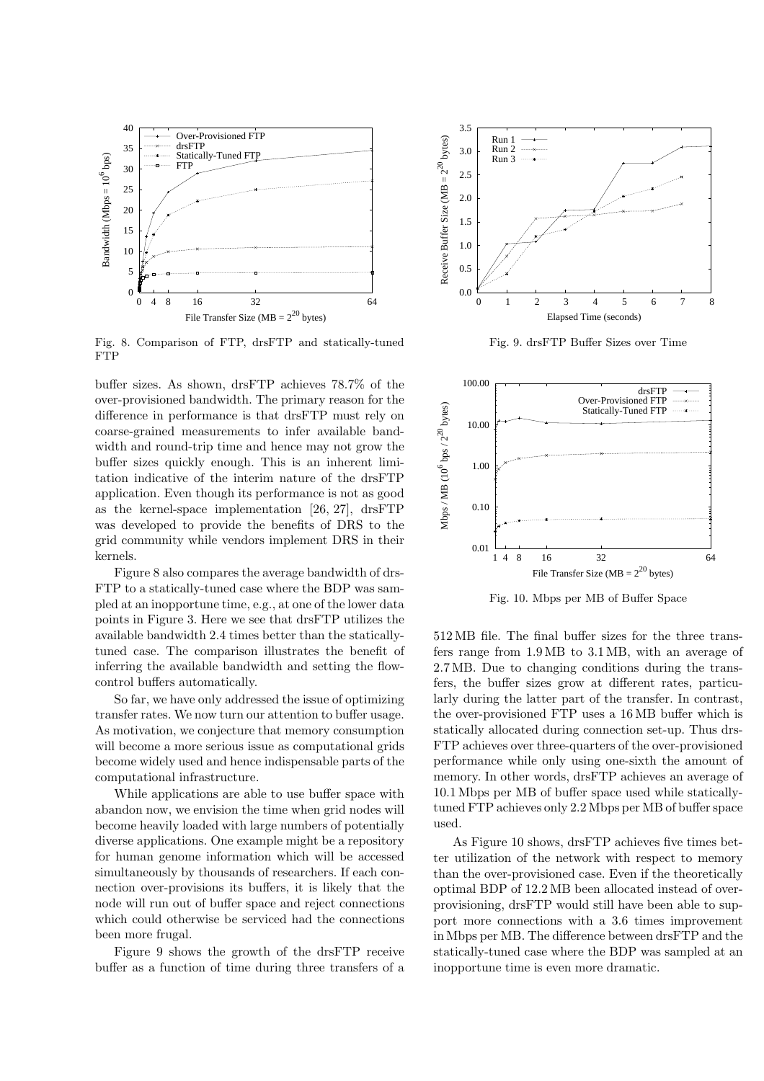

Fig. 8. Comparison of FTP, drsFTP and statically-tuned FTP

buffer sizes. As shown, drsFTP achieves 78.7% of the over-provisioned bandwidth. The primary reason for the difference in performance is that drsFTP must rely on coarse-grained measurements to infer available bandwidth and round-trip time and hence may not grow the buffer sizes quickly enough. This is an inherent limitation indicative of the interim nature of the drsFTP application. Even though its performance is not as good as the kernel-space implementation [26, 27], drsFTP was developed to provide the benefits of DRS to the grid community while vendors implement DRS in their kernels.

Figure 8 also compares the average bandwidth of drs-FTP to a statically-tuned case where the BDP was sampled at an inopportune time, e.g., at one of the lower data points in Figure 3. Here we see that drsFTP utilizes the available bandwidth 2.4 times better than the staticallytuned case. The comparison illustrates the benefit of inferring the available bandwidth and setting the flowcontrol buffers automatically.

So far, we have only addressed the issue of optimizing transfer rates. We now turn our attention to buffer usage. As motivation, we conjecture that memory consumption will become a more serious issue as computational grids become widely used and hence indispensable parts of the computational infrastructure.

While applications are able to use buffer space with abandon now, we envision the time when grid nodes will become heavily loaded with large numbers of potentially diverse applications. One example might be a repository for human genome information which will be accessed simultaneously by thousands of researchers. If each connection over-provisions its buffers, it is likely that the node will run out of buffer space and reject connections which could otherwise be serviced had the connections been more frugal.

Figure 9 shows the growth of the drsFTP receive buffer as a function of time during three transfers of a



Fig. 9. drsFTP Buffer Sizes over Time



Fig. 10. Mbps per MB of Buffer Space

512 MB file. The final buffer sizes for the three transfers range from 1.9 MB to 3.1 MB, with an average of 2.7 MB. Due to changing conditions during the transfers, the buffer sizes grow at different rates, particularly during the latter part of the transfer. In contrast, the over-provisioned FTP uses a 16 MB buffer which is statically allocated during connection set-up. Thus drs-FTP achieves over three-quarters of the over-provisioned performance while only using one-sixth the amount of memory. In other words, drsFTP achieves an average of 10.1 Mbps per MB of buffer space used while staticallytuned FTP achieves only 2.2 Mbps per MB of buffer space used.

As Figure 10 shows, drsFTP achieves five times better utilization of the network with respect to memory than the over-provisioned case. Even if the theoretically optimal BDP of 12.2 MB been allocated instead of overprovisioning, drsFTP would still have been able to support more connections with a 3.6 times improvement in Mbps per MB. The difference between drsFTP and the statically-tuned case where the BDP was sampled at an inopportune time is even more dramatic.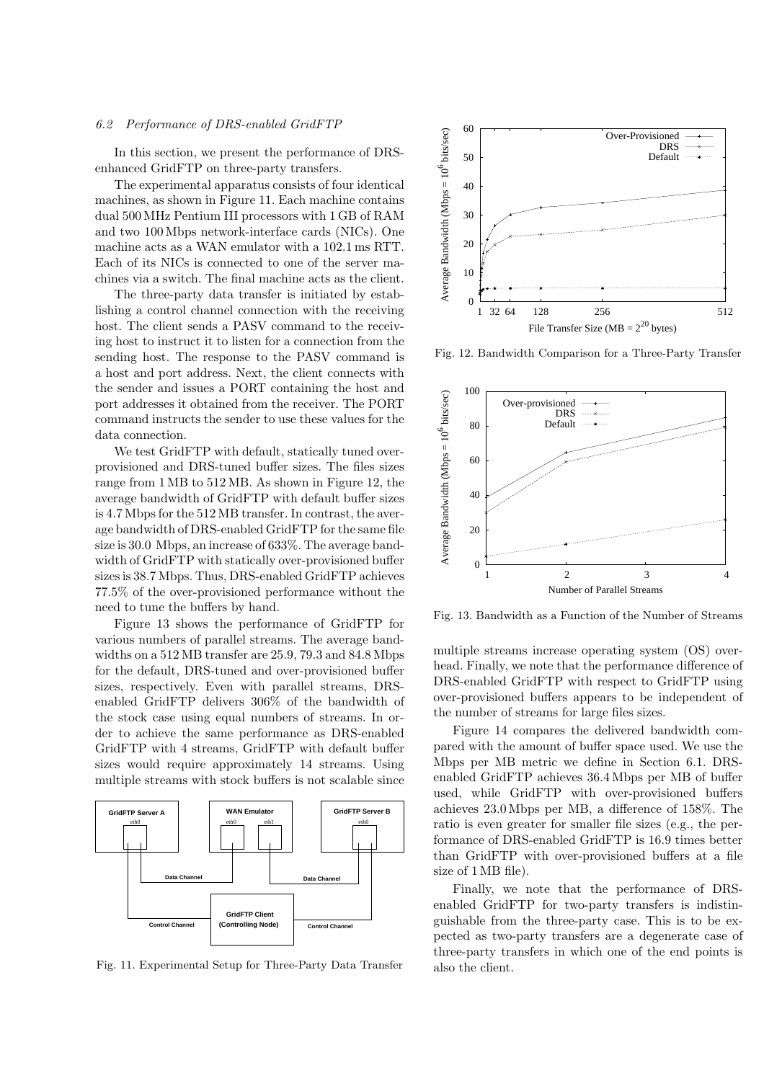# 6.2 Performance of DRS-enabled GridFTP

In this section, we present the performance of DRSenhanced GridFTP on three-party transfers.

The experimental apparatus consists of four identical machines, as shown in Figure 11. Each machine contains dual 500 MHz Pentium III processors with 1 GB of RAM and two 100 Mbps network-interface cards (NICs). One machine acts as a WAN emulator with a 102.1 ms RTT. Each of its NICs is connected to one of the server machines via a switch. The final machine acts as the client.

The three-party data transfer is initiated by establishing a control channel connection with the receiving host. The client sends a PASV command to the receiving host to instruct it to listen for a connection from the sending host. The response to the PASV command is a host and port address. Next, the client connects with the sender and issues a PORT containing the host and port addresses it obtained from the receiver. The PORT command instructs the sender to use these values for the data connection.

We test GridFTP with default, statically tuned overprovisioned and DRS-tuned buffer sizes. The files sizes range from 1 MB to 512 MB. As shown in Figure 12, the average bandwidth of GridFTP with default buffer sizes is 4.7 Mbps for the 512 MB transfer. In contrast, the average bandwidth of DRS-enabled GridFTP for the same file size is 30.0 Mbps, an increase of 633%. The average bandwidth of GridFTP with statically over-provisioned buffer sizes is 38.7 Mbps. Thus, DRS-enabled GridFTP achieves 77.5% of the over-provisioned performance without the need to tune the buffers by hand.

Figure 13 shows the performance of GridFTP for various numbers of parallel streams. The average bandwidths on a 512 MB transfer are 25.9, 79.3 and 84.8 Mbps for the default, DRS-tuned and over-provisioned buffer sizes, respectively. Even with parallel streams, DRSenabled GridFTP delivers 306% of the bandwidth of the stock case using equal numbers of streams. In order to achieve the same performance as DRS-enabled GridFTP with 4 streams, GridFTP with default buffer sizes would require approximately 14 streams. Using multiple streams with stock buffers is not scalable since



Fig. 11. Experimental Setup for Three-Party Data Transfer



Fig. 12. Bandwidth Comparison for a Three-Party Transfer



Fig. 13. Bandwidth as a Function of the Number of Streams

multiple streams increase operating system (OS) overhead. Finally, we note that the performance difference of DRS-enabled GridFTP with respect to GridFTP using over-provisioned buffers appears to be independent of the number of streams for large files sizes.

Figure 14 compares the delivered bandwidth compared with the amount of buffer space used. We use the Mbps per MB metric we define in Section 6.1. DRSenabled GridFTP achieves 36.4 Mbps per MB of buffer used, while GridFTP with over-provisioned buffers achieves 23.0 Mbps per MB, a difference of 158%. The ratio is even greater for smaller file sizes (e.g., the performance of DRS-enabled GridFTP is 16.9 times better than GridFTP with over-provisioned buffers at a file size of 1 MB file).

Finally, we note that the performance of DRSenabled GridFTP for two-party transfers is indistinguishable from the three-party case. This is to be expected as two-party transfers are a degenerate case of three-party transfers in which one of the end points is also the client.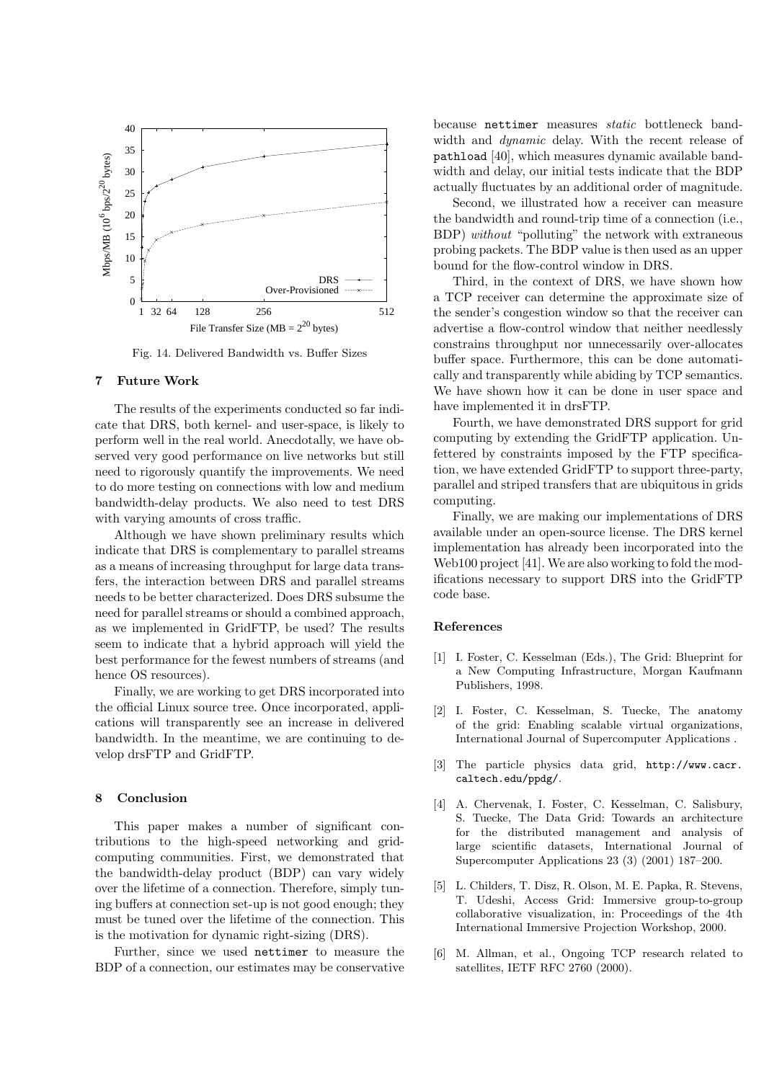

Fig. 14. Delivered Bandwidth vs. Buffer Sizes

# 7 Future Work

The results of the experiments conducted so far indicate that DRS, both kernel- and user-space, is likely to perform well in the real world. Anecdotally, we have observed very good performance on live networks but still need to rigorously quantify the improvements. We need to do more testing on connections with low and medium bandwidth-delay products. We also need to test DRS with varying amounts of cross traffic.

Although we have shown preliminary results which indicate that DRS is complementary to parallel streams as a means of increasing throughput for large data transfers, the interaction between DRS and parallel streams needs to be better characterized. Does DRS subsume the need for parallel streams or should a combined approach, as we implemented in GridFTP, be used? The results seem to indicate that a hybrid approach will yield the best performance for the fewest numbers of streams (and hence OS resources).

Finally, we are working to get DRS incorporated into the official Linux source tree. Once incorporated, applications will transparently see an increase in delivered bandwidth. In the meantime, we are continuing to develop drsFTP and GridFTP.

# 8 Conclusion

This paper makes a number of significant contributions to the high-speed networking and gridcomputing communities. First, we demonstrated that the bandwidth-delay product (BDP) can vary widely over the lifetime of a connection. Therefore, simply tuning buffers at connection set-up is not good enough; they must be tuned over the lifetime of the connection. This is the motivation for dynamic right-sizing (DRS).

Further, since we used nettimer to measure the BDP of a connection, our estimates may be conservative because nettimer measures static bottleneck bandwidth and dynamic delay. With the recent release of pathload [40], which measures dynamic available bandwidth and delay, our initial tests indicate that the BDP actually fluctuates by an additional order of magnitude.

Second, we illustrated how a receiver can measure the bandwidth and round-trip time of a connection (i.e., BDP) without "polluting" the network with extraneous probing packets. The BDP value is then used as an upper bound for the flow-control window in DRS.

Third, in the context of DRS, we have shown how a TCP receiver can determine the approximate size of the sender's congestion window so that the receiver can advertise a flow-control window that neither needlessly constrains throughput nor unnecessarily over-allocates buffer space. Furthermore, this can be done automatically and transparently while abiding by TCP semantics. We have shown how it can be done in user space and have implemented it in drsFTP.

Fourth, we have demonstrated DRS support for grid computing by extending the GridFTP application. Unfettered by constraints imposed by the FTP specification, we have extended GridFTP to support three-party, parallel and striped transfers that are ubiquitous in grids computing.

Finally, we are making our implementations of DRS available under an open-source license. The DRS kernel implementation has already been incorporated into the Web100 project [41]. We are also working to fold the modifications necessary to support DRS into the GridFTP code base.

# References

- [1] I. Foster, C. Kesselman (Eds.), The Grid: Blueprint for a New Computing Infrastructure, Morgan Kaufmann Publishers, 1998.
- [2] I. Foster, C. Kesselman, S. Tuecke, The anatomy of the grid: Enabling scalable virtual organizations, International Journal of Supercomputer Applications .
- [3] The particle physics data grid, http://www.cacr. caltech.edu/ppdg/.
- [4] A. Chervenak, I. Foster, C. Kesselman, C. Salisbury, S. Tuecke, The Data Grid: Towards an architecture for the distributed management and analysis of large scientific datasets, International Journal of Supercomputer Applications 23 (3) (2001) 187–200.
- [5] L. Childers, T. Disz, R. Olson, M. E. Papka, R. Stevens, T. Udeshi, Access Grid: Immersive group-to-group collaborative visualization, in: Proceedings of the 4th International Immersive Projection Workshop, 2000.
- [6] M. Allman, et al., Ongoing TCP research related to satellites, IETF RFC 2760 (2000).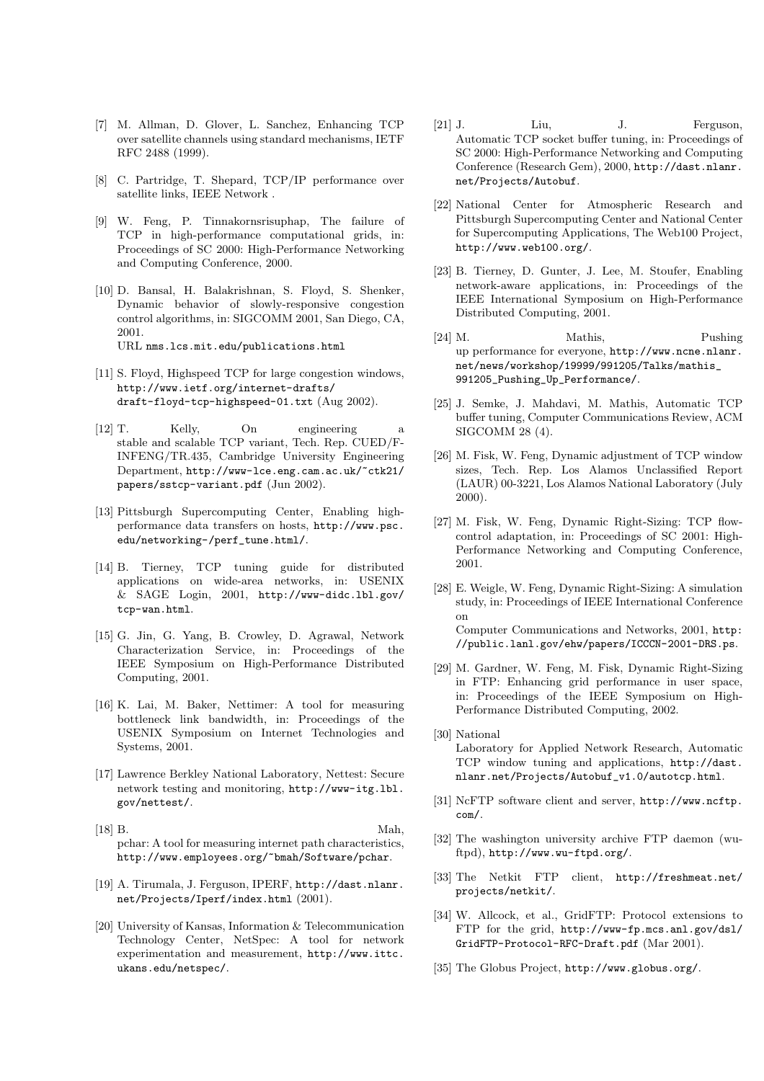- [7] M. Allman, D. Glover, L. Sanchez, Enhancing TCP over satellite channels using standard mechanisms, IETF RFC 2488 (1999).
- [8] C. Partridge, T. Shepard, TCP/IP performance over satellite links, IEEE Network .
- [9] W. Feng, P. Tinnakornsrisuphap, The failure of TCP in high-performance computational grids, in: Proceedings of SC 2000: High-Performance Networking and Computing Conference, 2000.
- [10] D. Bansal, H. Balakrishnan, S. Floyd, S. Shenker, Dynamic behavior of slowly-responsive congestion control algorithms, in: SIGCOMM 2001, San Diego, CA, 2001.

URL nms.lcs.mit.edu/publications.html

- [11] S. Floyd, Highspeed TCP for large congestion windows, http://www.ietf.org/internet-drafts/ draft-floyd-tcp-highspeed-01.txt (Aug 2002).
- [12] T. Kelly, On engineering stable and scalable TCP variant, Tech. Rep. CUED/F-INFENG/TR.435, Cambridge University Engineering Department, http://www-lce.eng.cam.ac.uk/~ctk21/ papers/sstcp-variant.pdf (Jun 2002).
- [13] Pittsburgh Supercomputing Center, Enabling highperformance data transfers on hosts, http://www.psc. edu/networking-/perf\_tune.html/.
- [14] B. Tierney, TCP tuning guide for distributed applications on wide-area networks, in: USENIX & SAGE Login, 2001, http://www-didc.lbl.gov/ tcp-wan.html.
- [15] G. Jin, G. Yang, B. Crowley, D. Agrawal, Network Characterization Service, in: Proceedings of the IEEE Symposium on High-Performance Distributed Computing, 2001.
- [16] K. Lai, M. Baker, Nettimer: A tool for measuring bottleneck link bandwidth, in: Proceedings of the USENIX Symposium on Internet Technologies and Systems, 2001.
- [17] Lawrence Berkley National Laboratory, Nettest: Secure network testing and monitoring, http://www-itg.lbl. gov/nettest/.
- [18] B. Mah, pchar: A tool for measuring internet path characteristics, http://www.employees.org/~bmah/Software/pchar.
- [19] A. Tirumala, J. Ferguson, IPERF, http://dast.nlanr. net/Projects/Iperf/index.html (2001).
- [20] University of Kansas, Information & Telecommunication Technology Center, NetSpec: A tool for network experimentation and measurement, http://www.ittc. ukans.edu/netspec/.
- [21] J. Liu, J. Ferguson, Automatic TCP socket buffer tuning, in: Proceedings of SC 2000: High-Performance Networking and Computing Conference (Research Gem), 2000, http://dast.nlanr. net/Projects/Autobuf.
- [22] National Center for Atmospheric Research and Pittsburgh Supercomputing Center and National Center for Supercomputing Applications, The Web100 Project, http://www.web100.org/.
- [23] B. Tierney, D. Gunter, J. Lee, M. Stoufer, Enabling network-aware applications, in: Proceedings of the IEEE International Symposium on High-Performance Distributed Computing, 2001.
- [24] M. Mathis, Pushing up performance for everyone, http://www.ncne.nlanr. net/news/workshop/19999/991205/Talks/mathis\_ 991205\_Pushing\_Up\_Performance/.
- [25] J. Semke, J. Mahdavi, M. Mathis, Automatic TCP buffer tuning, Computer Communications Review, ACM SIGCOMM 28 (4).
- [26] M. Fisk, W. Feng, Dynamic adjustment of TCP window sizes, Tech. Rep. Los Alamos Unclassified Report (LAUR) 00-3221, Los Alamos National Laboratory (July 2000).
- [27] M. Fisk, W. Feng, Dynamic Right-Sizing: TCP flowcontrol adaptation, in: Proceedings of SC 2001: High-Performance Networking and Computing Conference, 2001.
- [28] E. Weigle, W. Feng, Dynamic Right-Sizing: A simulation study, in: Proceedings of IEEE International Conference on Computer Communications and Networks, 2001, http: //public.lanl.gov/ehw/papers/ICCCN-2001-DRS.ps.
- [29] M. Gardner, W. Feng, M. Fisk, Dynamic Right-Sizing in FTP: Enhancing grid performance in user space, in: Proceedings of the IEEE Symposium on High-Performance Distributed Computing, 2002.
- [30] National Laboratory for Applied Network Research, Automatic TCP window tuning and applications, http://dast. nlanr.net/Projects/Autobuf\_v1.0/autotcp.html.
- [31] NcFTP software client and server, http://www.ncftp. com/.
- [32] The washington university archive FTP daemon (wuftpd), http://www.wu-ftpd.org/.
- [33] The Netkit FTP client, http://freshmeat.net/ projects/netkit/.
- [34] W. Allcock, et al., GridFTP: Protocol extensions to FTP for the grid, http://www-fp.mcs.anl.gov/dsl/ GridFTP-Protocol-RFC-Draft.pdf (Mar 2001).
- [35] The Globus Project, http://www.globus.org/.